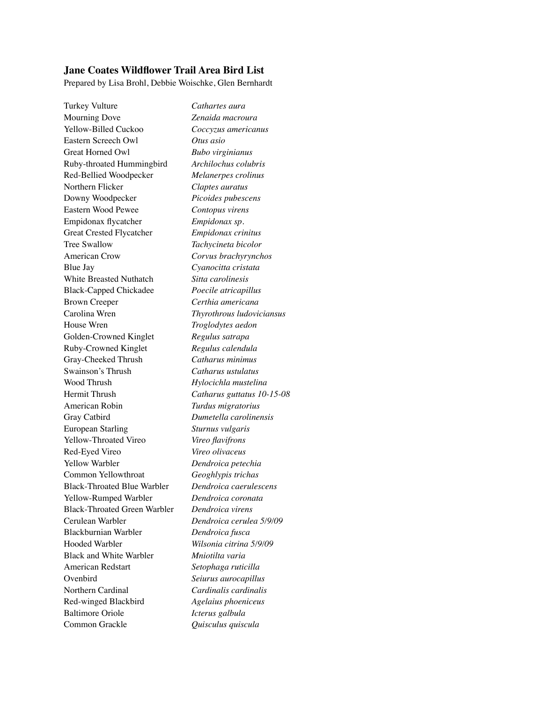## **Jane Coates Wildflower Trail Area Bird List**

Prepared by Lisa Brohl, Debbie Woischke, Glen Bernhardt

Turkey Vulture *Cathartes aura* Mourning Dove *Zenaida macroura* Yellow-Billed Cuckoo *Coccyzus americanus* Eastern Screech Owl *Otus asio* Great Horned Owl *Bubo virginianus* Ruby-throated Hummingbird *Archilochus colubris* Red-Bellied Woodpecker Melanerpes crolinus Northern Flicker *Claptes auratus* Downy Woodpecker *Picoides pubescens* Eastern Wood Pewee *Contopus virens* Empidonax flycatcher *Empidonax sp.* Great Crested Flycatcher *Empidonax crinitus* Tree Swallow **Tachycineta bicolor** American Crow Corvus brachyrynchos Blue Jay *Cyanocitta cristata* White Breasted Nuthatch Sitta carolinesis Black-Capped Chickadee *Poecile atricapillus* Brown Creeper *Certhia americana* Carolina Wren *Thyrothrous ludoviciansus* House Wren *Troglodytes aedon* Golden-Crowned Kinglet **Regulus satrapa** Ruby-Crowned Kinglet *Regulus calendula* Gray-Cheeked Thrush Catharus minimus Swainson's Thrush **Catharus ustulatus** Wood Thrush *Hylocichla mustelina* Hermit Thrush<br>*Catharus guttatus 10-15-08* American Robin *Turdus migratorius* Gray Catbird *Dumetella carolinensis* European Starling Sturnus vulgaris Yellow-Throated Vireo *Vireo flavifrons* Red-Eyed Vireo *Vireo olivaceus* Yellow Warbler *Dendroica petechia* Common Yellowthroat *Geoghlypis trichas* Black-Throated Blue Warbler *Dendroica caerulescens* Yellow-Rumped Warbler *Dendroica coronata* Black-Throated Green Warbler *Dendroica virens* Cerulean Warbler<br>*Dendroica cerulea 5/9/09* Blackburnian Warbler *Dendroica fusca* Hooded Warbler *Wilsonia citrina 5/9/09* Black and White Warbler *Mniotilta varia* American Redstart *Setophaga ruticilla* Ovenbird Seiurus aurocapillus Northern Cardinal **Cardinalis Cardinalis** Red-winged Blackbird *Agelaius phoeniceus* Baltimore Oriole *Icterus galbula* Common Grackle *Quisculus quiscula*